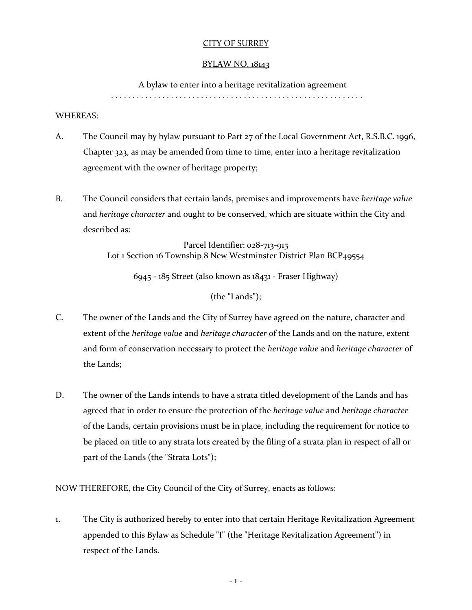# CITY OF SURREY

### BYLAW NO. 18143

A bylaw to enter into a heritage revitalization agreement

. . . . . . . . . . . . . . . . . . . . . . . . . . . . . . . . . . . . . . . . . . . . . . . . . . . . . . . . . . .

### WHEREAS:

- A. The Council may by bylaw pursuant to Part 27 of the Local Government Act, R.S.B.C. 1996, Chapter 323, as may be amended from time to time, enter into a heritage revitalization agreement with the owner of heritage property;
- B. The Council considers that certain lands, premises and improvements have *heritage value* and *heritage character* and ought to be conserved, which are situate within the City and described as:

Parcel Identifier: 028-713-915 Lot 1 Section 16 Township 8 New Westminster District Plan BCP49554

6945 - 185 Street (also known as 18431 - Fraser Highway)

(the "Lands");

- C. The owner of the Lands and the City of Surrey have agreed on the nature, character and extent of the *heritage value* and *heritage character* of the Lands and on the nature, extent and form of conservation necessary to protect the *heritage value* and *heritage character* of the Lands;
- D. The owner of the Lands intends to have a strata titled development of the Lands and has agreed that in order to ensure the protection of the *heritage value* and *heritage character* of the Lands, certain provisions must be in place, including the requirement for notice to be placed on title to any strata lots created by the filing of a strata plan in respect of all or part of the Lands (the "Strata Lots");

NOW THEREFORE, the City Council of the City of Surrey, enacts as follows:

1. The City is authorized hereby to enter into that certain Heritage Revitalization Agreement appended to this Bylaw as Schedule "I" (the "Heritage Revitalization Agreement") in respect of the Lands.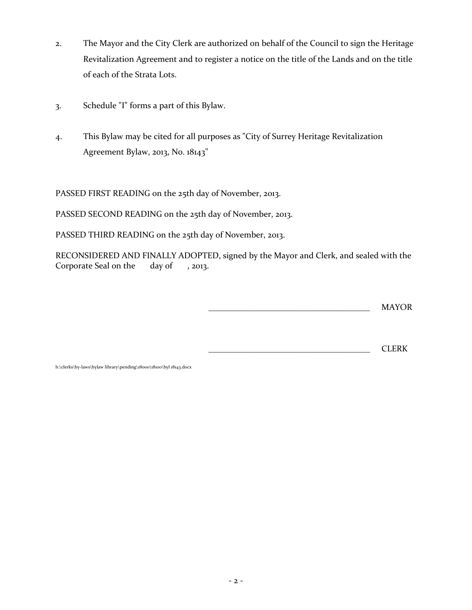- 2. The Mayor and the City Clerk are authorized on behalf of the Council to sign the Heritage Revitalization Agreement and to register a notice on the title of the Lands and on the title of each of the Strata Lots.
- 3. Schedule "I" forms a part of this Bylaw.
- 4. This Bylaw may be cited for all purposes as "City of Surrey Heritage Revitalization Agreement Bylaw, 2013, No. 18143"

PASSED FIRST READING on the 25th day of November, 2013.

PASSED SECOND READING on the 25th day of November, 2013.

PASSED THIRD READING on the 25th day of November, 2013.

RECONSIDERED AND FINALLY ADOPTED, signed by the Mayor and Clerk, and sealed with the Corporate Seal on the day of , 2013.

\_\_\_\_\_\_\_\_\_\_\_\_\_\_\_\_\_\_\_\_\_\_\_\_\_\_\_\_\_\_\_\_\_\_\_\_\_\_ MAYOR

\_\_\_\_\_\_\_\_\_\_\_\_\_\_\_\_\_\_\_\_\_\_\_\_\_\_\_\_\_\_\_\_\_\_\_\_\_\_ CLERK

h:\clerks\by-laws\bylaw library\pending\18000\18100\byl 18143.docx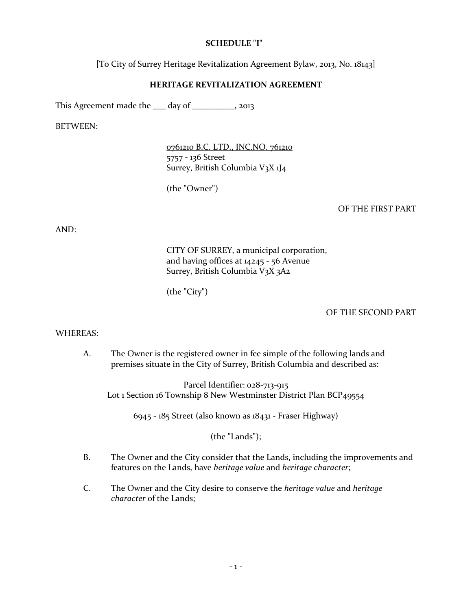### **SCHEDULE "I"**

[To City of Surrey Heritage Revitalization Agreement Bylaw, 2013, No. 18143]

### **HERITAGE REVITALIZATION AGREEMENT**

This Agreement made the <u>quality day of electron 2013</u>, 2013

BETWEEN:

0761210 B.C. LTD., INC.NO. 761210 5757 - 136 Street Surrey, British Columbia V3X 1J4

(the "Owner")

### OF THE FIRST PART

AND:

CITY OF SURREY, a municipal corporation, and having offices at 14245 - 56 Avenue Surrey, British Columbia V3X 3A2

(the "City")

#### OF THE SECOND PART

#### WHEREAS:

A. The Owner is the registered owner in fee simple of the following lands and premises situate in the City of Surrey, British Columbia and described as:

Parcel Identifier: 028-713-915 Lot 1 Section 16 Township 8 New Westminster District Plan BCP49554

6945 - 185 Street (also known as 18431 - Fraser Highway)

(the "Lands");

- B. The Owner and the City consider that the Lands, including the improvements and features on the Lands, have *heritage value* and *heritage character*;
- C. The Owner and the City desire to conserve the *heritage value* and *heritage character* of the Lands;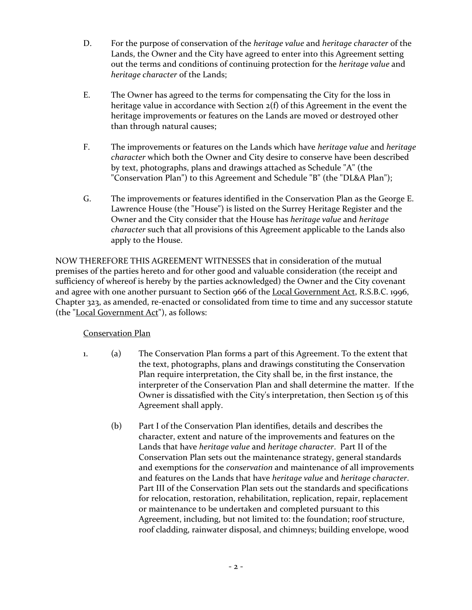- D. For the purpose of conservation of the *heritage value* and *heritage character* of the Lands, the Owner and the City have agreed to enter into this Agreement setting out the terms and conditions of continuing protection for the *heritage value* and *heritage character* of the Lands;
- E. The Owner has agreed to the terms for compensating the City for the loss in heritage value in accordance with Section 2(f) of this Agreement in the event the heritage improvements or features on the Lands are moved or destroyed other than through natural causes;
- F. The improvements or features on the Lands which have *heritage value* and *heritage character* which both the Owner and City desire to conserve have been described by text, photographs, plans and drawings attached as Schedule "A" (the "Conservation Plan") to this Agreement and Schedule "B" (the "DL&A Plan");
- G. The improvements or features identified in the Conservation Plan as the George E. Lawrence House (the "House") is listed on the Surrey Heritage Register and the Owner and the City consider that the House has *heritage value* and *heritage character* such that all provisions of this Agreement applicable to the Lands also apply to the House.

NOW THEREFORE THIS AGREEMENT WITNESSES that in consideration of the mutual premises of the parties hereto and for other good and valuable consideration (the receipt and sufficiency of whereof is hereby by the parties acknowledged) the Owner and the City covenant and agree with one another pursuant to Section 966 of the Local Government Act, R.S.B.C. 1996, Chapter 323, as amended, re-enacted or consolidated from time to time and any successor statute (the "Local Government Act"), as follows:

# Conservation Plan

- 1. (a) The Conservation Plan forms a part of this Agreement. To the extent that the text, photographs, plans and drawings constituting the Conservation Plan require interpretation, the City shall be, in the first instance, the interpreter of the Conservation Plan and shall determine the matter. If the Owner is dissatisfied with the City's interpretation, then Section 15 of this Agreement shall apply.
	- (b) Part I of the Conservation Plan identifies, details and describes the character, extent and nature of the improvements and features on the Lands that have *heritage value* and *heritage character*. Part II of the Conservation Plan sets out the maintenance strategy, general standards and exemptions for the *conservation* and maintenance of all improvements and features on the Lands that have *heritage value* and *heritage character*. Part III of the Conservation Plan sets out the standards and specifications for relocation, restoration, rehabilitation, replication, repair, replacement or maintenance to be undertaken and completed pursuant to this Agreement, including, but not limited to: the foundation; roof structure, roof cladding, rainwater disposal, and chimneys; building envelope, wood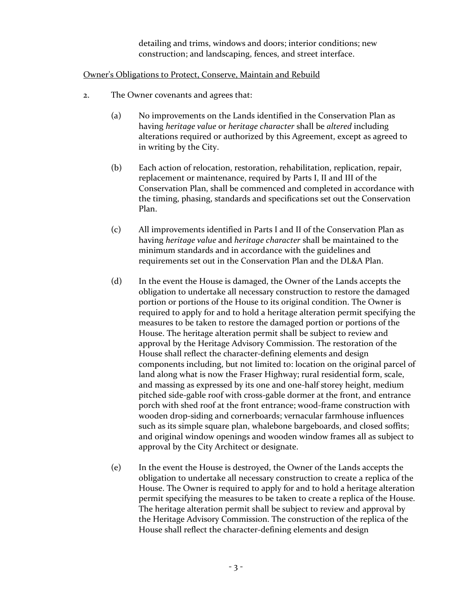detailing and trims, windows and doors; interior conditions; new construction; and landscaping, fences, and street interface.

### Owner's Obligations to Protect, Conserve, Maintain and Rebuild

- 2. The Owner covenants and agrees that:
	- (a) No improvements on the Lands identified in the Conservation Plan as having *heritage value* or *heritage character* shall be *altered* including alterations required or authorized by this Agreement, except as agreed to in writing by the City.
	- (b) Each action of relocation, restoration, rehabilitation, replication, repair, replacement or maintenance, required by Parts I, II and III of the Conservation Plan, shall be commenced and completed in accordance with the timing, phasing, standards and specifications set out the Conservation Plan.
	- (c) All improvements identified in Parts I and II of the Conservation Plan as having *heritage value* and *heritage character* shall be maintained to the minimum standards and in accordance with the guidelines and requirements set out in the Conservation Plan and the DL&A Plan.
	- (d) In the event the House is damaged, the Owner of the Lands accepts the obligation to undertake all necessary construction to restore the damaged portion or portions of the House to its original condition. The Owner is required to apply for and to hold a heritage alteration permit specifying the measures to be taken to restore the damaged portion or portions of the House. The heritage alteration permit shall be subject to review and approval by the Heritage Advisory Commission. The restoration of the House shall reflect the character-defining elements and design components including, but not limited to: location on the original parcel of land along what is now the Fraser Highway; rural residential form, scale, and massing as expressed by its one and one-half storey height, medium pitched side-gable roof with cross-gable dormer at the front, and entrance porch with shed roof at the front entrance; wood-frame construction with wooden drop-siding and cornerboards; vernacular farmhouse influences such as its simple square plan, whalebone bargeboards, and closed soffits; and original window openings and wooden window frames all as subject to approval by the City Architect or designate.
	- (e) In the event the House is destroyed, the Owner of the Lands accepts the obligation to undertake all necessary construction to create a replica of the House. The Owner is required to apply for and to hold a heritage alteration permit specifying the measures to be taken to create a replica of the House. The heritage alteration permit shall be subject to review and approval by the Heritage Advisory Commission. The construction of the replica of the House shall reflect the character-defining elements and design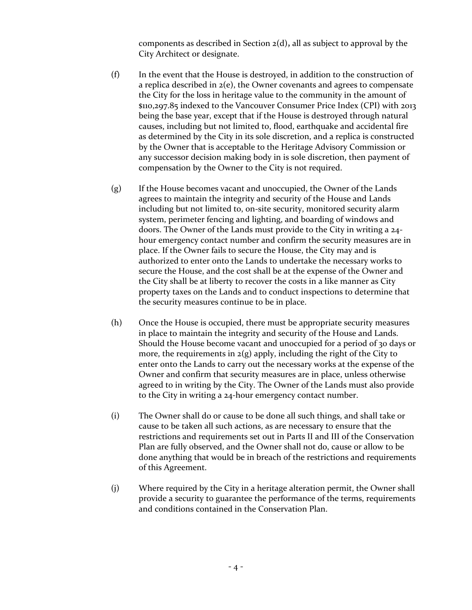components as described in Section 2(d)**,** all as subject to approval by the City Architect or designate.

- (f) In the event that the House is destroyed, in addition to the construction of a replica described in 2(e), the Owner covenants and agrees to compensate the City for the loss in heritage value to the community in the amount of \$110,297.85 indexed to the Vancouver Consumer Price Index (CPI) with 2013 being the base year, except that if the House is destroyed through natural causes, including but not limited to, flood, earthquake and accidental fire as determined by the City in its sole discretion, and a replica is constructed by the Owner that is acceptable to the Heritage Advisory Commission or any successor decision making body in is sole discretion, then payment of compensation by the Owner to the City is not required.
- (g) If the House becomes vacant and unoccupied, the Owner of the Lands agrees to maintain the integrity and security of the House and Lands including but not limited to, on-site security, monitored security alarm system, perimeter fencing and lighting, and boarding of windows and doors. The Owner of the Lands must provide to the City in writing a 24 hour emergency contact number and confirm the security measures are in place. If the Owner fails to secure the House, the City may and is authorized to enter onto the Lands to undertake the necessary works to secure the House, and the cost shall be at the expense of the Owner and the City shall be at liberty to recover the costs in a like manner as City property taxes on the Lands and to conduct inspections to determine that the security measures continue to be in place.
- (h) Once the House is occupied, there must be appropriate security measures in place to maintain the integrity and security of the House and Lands. Should the House become vacant and unoccupied for a period of 30 days or more, the requirements in  $2(g)$  apply, including the right of the City to enter onto the Lands to carry out the necessary works at the expense of the Owner and confirm that security measures are in place, unless otherwise agreed to in writing by the City. The Owner of the Lands must also provide to the City in writing a 24-hour emergency contact number.
- (i) The Owner shall do or cause to be done all such things, and shall take or cause to be taken all such actions, as are necessary to ensure that the restrictions and requirements set out in Parts II and III of the Conservation Plan are fully observed, and the Owner shall not do, cause or allow to be done anything that would be in breach of the restrictions and requirements of this Agreement.
- (j) Where required by the City in a heritage alteration permit, the Owner shall provide a security to guarantee the performance of the terms, requirements and conditions contained in the Conservation Plan.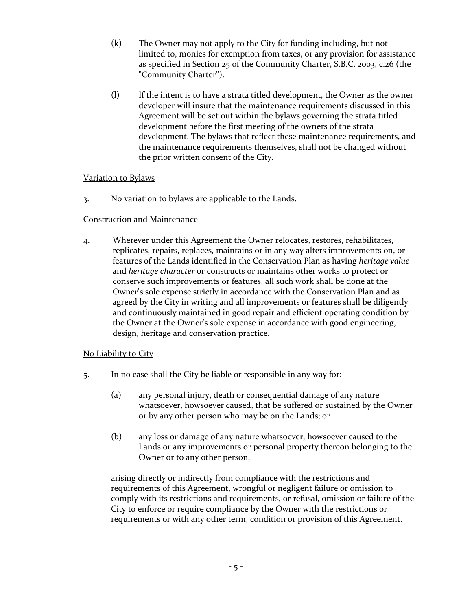- (k) The Owner may not apply to the City for funding including, but not limited to, monies for exemption from taxes, or any provision for assistance as specified in Section 25 of the Community Charter, S.B.C. 2003, c.26 (the "Community Charter").
- (l) If the intent is to have a strata titled development, the Owner as the owner developer will insure that the maintenance requirements discussed in this Agreement will be set out within the bylaws governing the strata titled development before the first meeting of the owners of the strata development. The bylaws that reflect these maintenance requirements, and the maintenance requirements themselves, shall not be changed without the prior written consent of the City.

# Variation to Bylaws

3. No variation to bylaws are applicable to the Lands.

# Construction and Maintenance

4. Wherever under this Agreement the Owner relocates, restores, rehabilitates, replicates, repairs, replaces, maintains or in any way alters improvements on, or features of the Lands identified in the Conservation Plan as having *heritage value* and *heritage character* or constructs or maintains other works to protect or conserve such improvements or features, all such work shall be done at the Owner's sole expense strictly in accordance with the Conservation Plan and as agreed by the City in writing and all improvements or features shall be diligently and continuously maintained in good repair and efficient operating condition by the Owner at the Owner's sole expense in accordance with good engineering, design, heritage and conservation practice.

# No Liability to City

- 5. In no case shall the City be liable or responsible in any way for:
	- (a) any personal injury, death or consequential damage of any nature whatsoever, howsoever caused, that be suffered or sustained by the Owner or by any other person who may be on the Lands; or
	- (b) any loss or damage of any nature whatsoever, howsoever caused to the Lands or any improvements or personal property thereon belonging to the Owner or to any other person,

arising directly or indirectly from compliance with the restrictions and requirements of this Agreement, wrongful or negligent failure or omission to comply with its restrictions and requirements, or refusal, omission or failure of the City to enforce or require compliance by the Owner with the restrictions or requirements or with any other term, condition or provision of this Agreement.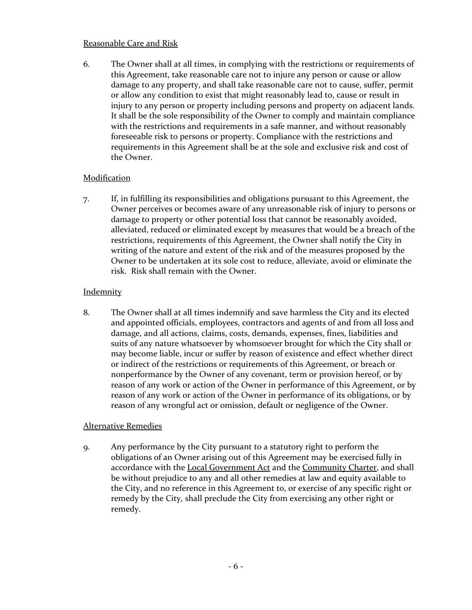# Reasonable Care and Risk

6. The Owner shall at all times, in complying with the restrictions or requirements of this Agreement, take reasonable care not to injure any person or cause or allow damage to any property, and shall take reasonable care not to cause, suffer, permit or allow any condition to exist that might reasonably lead to, cause or result in injury to any person or property including persons and property on adjacent lands. It shall be the sole responsibility of the Owner to comply and maintain compliance with the restrictions and requirements in a safe manner, and without reasonably foreseeable risk to persons or property. Compliance with the restrictions and requirements in this Agreement shall be at the sole and exclusive risk and cost of the Owner.

# **Modification**

7. If, in fulfilling its responsibilities and obligations pursuant to this Agreement, the Owner perceives or becomes aware of any unreasonable risk of injury to persons or damage to property or other potential loss that cannot be reasonably avoided, alleviated, reduced or eliminated except by measures that would be a breach of the restrictions, requirements of this Agreement, the Owner shall notify the City in writing of the nature and extent of the risk and of the measures proposed by the Owner to be undertaken at its sole cost to reduce, alleviate, avoid or eliminate the risk. Risk shall remain with the Owner.

# **Indemnity**

8. The Owner shall at all times indemnify and save harmless the City and its elected and appointed officials, employees, contractors and agents of and from all loss and damage, and all actions, claims, costs, demands, expenses, fines, liabilities and suits of any nature whatsoever by whomsoever brought for which the City shall or may become liable, incur or suffer by reason of existence and effect whether direct or indirect of the restrictions or requirements of this Agreement, or breach or nonperformance by the Owner of any covenant, term or provision hereof, or by reason of any work or action of the Owner in performance of this Agreement, or by reason of any work or action of the Owner in performance of its obligations, or by reason of any wrongful act or omission, default or negligence of the Owner.

# Alternative Remedies

9. Any performance by the City pursuant to a statutory right to perform the obligations of an Owner arising out of this Agreement may be exercised fully in accordance with the Local Government Act and the Community Charter, and shall be without prejudice to any and all other remedies at law and equity available to the City, and no reference in this Agreement to, or exercise of any specific right or remedy by the City, shall preclude the City from exercising any other right or remedy.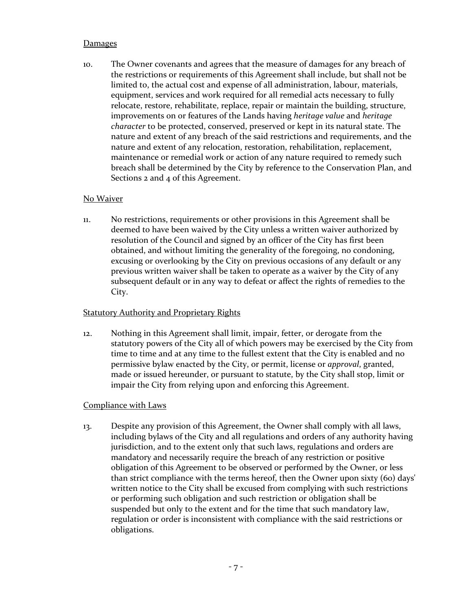# Damages

10. The Owner covenants and agrees that the measure of damages for any breach of the restrictions or requirements of this Agreement shall include, but shall not be limited to, the actual cost and expense of all administration, labour, materials, equipment, services and work required for all remedial acts necessary to fully relocate, restore, rehabilitate, replace, repair or maintain the building, structure, improvements on or features of the Lands having *heritage value* and *heritage character* to be protected, conserved, preserved or kept in its natural state. The nature and extent of any breach of the said restrictions and requirements, and the nature and extent of any relocation, restoration, rehabilitation, replacement, maintenance or remedial work or action of any nature required to remedy such breach shall be determined by the City by reference to the Conservation Plan, and Sections 2 and 4 of this Agreement.

#### No Waiver

11. No restrictions, requirements or other provisions in this Agreement shall be deemed to have been waived by the City unless a written waiver authorized by resolution of the Council and signed by an officer of the City has first been obtained, and without limiting the generality of the foregoing, no condoning, excusing or overlooking by the City on previous occasions of any default or any previous written waiver shall be taken to operate as a waiver by the City of any subsequent default or in any way to defeat or affect the rights of remedies to the City.

#### **Statutory Authority and Proprietary Rights**

12. Nothing in this Agreement shall limit, impair, fetter, or derogate from the statutory powers of the City all of which powers may be exercised by the City from time to time and at any time to the fullest extent that the City is enabled and no permissive bylaw enacted by the City, or permit, license or *approval*, granted, made or issued hereunder, or pursuant to statute, by the City shall stop, limit or impair the City from relying upon and enforcing this Agreement.

# Compliance with Laws

13. Despite any provision of this Agreement, the Owner shall comply with all laws, including bylaws of the City and all regulations and orders of any authority having jurisdiction, and to the extent only that such laws, regulations and orders are mandatory and necessarily require the breach of any restriction or positive obligation of this Agreement to be observed or performed by the Owner, or less than strict compliance with the terms hereof, then the Owner upon sixty (60) days' written notice to the City shall be excused from complying with such restrictions or performing such obligation and such restriction or obligation shall be suspended but only to the extent and for the time that such mandatory law, regulation or order is inconsistent with compliance with the said restrictions or obligations.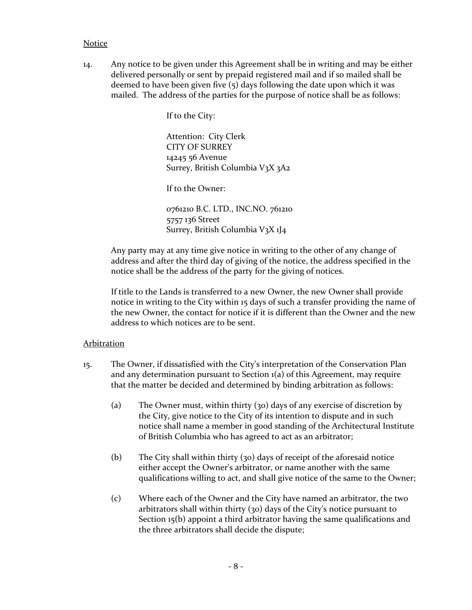#### **Notice**

14. Any notice to be given under this Agreement shall be in writing and may be either delivered personally or sent by prepaid registered mail and if so mailed shall be deemed to have been given five (5) days following the date upon which it was mailed. The address of the parties for the purpose of notice shall be as follows:

If to the City:

Attention: City Clerk CITY OF SURREY 14245 56 Avenue Surrey, British Columbia V3X 3A2

If to the Owner:

0761210 B.C. LTD., INC.NO. 761210 5757 136 Street Surrey, British Columbia V3X 1J4

Any party may at any time give notice in writing to the other of any change of address and after the third day of giving of the notice, the address specified in the notice shall be the address of the party for the giving of notices.

If title to the Lands is transferred to a new Owner, the new Owner shall provide notice in writing to the City within 15 days of such a transfer providing the name of the new Owner, the contact for notice if it is different than the Owner and the new address to which notices are to be sent.

#### Arbitration

- 15. The Owner, if dissatisfied with the City's interpretation of the Conservation Plan and any determination pursuant to Section 1(a) of this Agreement, may require that the matter be decided and determined by binding arbitration as follows:
	- (a) The Owner must, within thirty (30) days of any exercise of discretion by the City, give notice to the City of its intention to dispute and in such notice shall name a member in good standing of the Architectural Institute of British Columbia who has agreed to act as an arbitrator;
	- (b) The City shall within thirty (30) days of receipt of the aforesaid notice either accept the Owner's arbitrator, or name another with the same qualifications willing to act, and shall give notice of the same to the Owner;
	- (c) Where each of the Owner and the City have named an arbitrator, the two arbitrators shall within thirty (30) days of the City's notice pursuant to Section 15(b) appoint a third arbitrator having the same qualifications and the three arbitrators shall decide the dispute;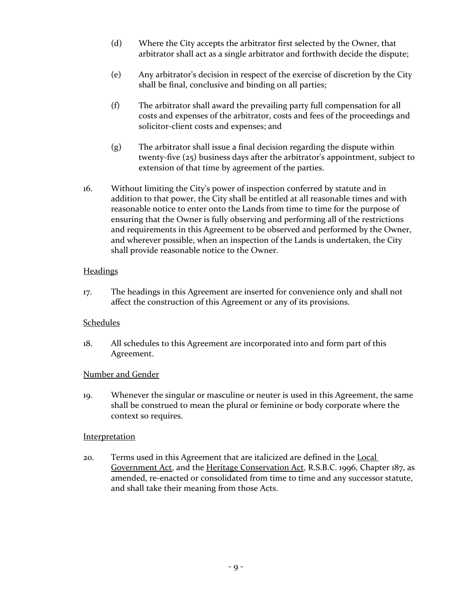- (d) Where the City accepts the arbitrator first selected by the Owner, that arbitrator shall act as a single arbitrator and forthwith decide the dispute;
- (e) Any arbitrator's decision in respect of the exercise of discretion by the City shall be final, conclusive and binding on all parties;
- (f) The arbitrator shall award the prevailing party full compensation for all costs and expenses of the arbitrator, costs and fees of the proceedings and solicitor-client costs and expenses; and
- (g) The arbitrator shall issue a final decision regarding the dispute within twenty-five (25) business days after the arbitrator's appointment, subject to extension of that time by agreement of the parties.
- 16. Without limiting the City's power of inspection conferred by statute and in addition to that power, the City shall be entitled at all reasonable times and with reasonable notice to enter onto the Lands from time to time for the purpose of ensuring that the Owner is fully observing and performing all of the restrictions and requirements in this Agreement to be observed and performed by the Owner, and wherever possible, when an inspection of the Lands is undertaken, the City shall provide reasonable notice to the Owner.

# **Headings**

17. The headings in this Agreement are inserted for convenience only and shall not affect the construction of this Agreement or any of its provisions.

# **Schedules**

18. All schedules to this Agreement are incorporated into and form part of this Agreement.

# Number and Gender

19. Whenever the singular or masculine or neuter is used in this Agreement, the same shall be construed to mean the plural or feminine or body corporate where the context so requires.

# **Interpretation**

20. Terms used in this Agreement that are italicized are defined in the Local Government Act, and the Heritage Conservation Act, R.S.B.C. 1996, Chapter 187, as amended, re-enacted or consolidated from time to time and any successor statute, and shall take their meaning from those Acts.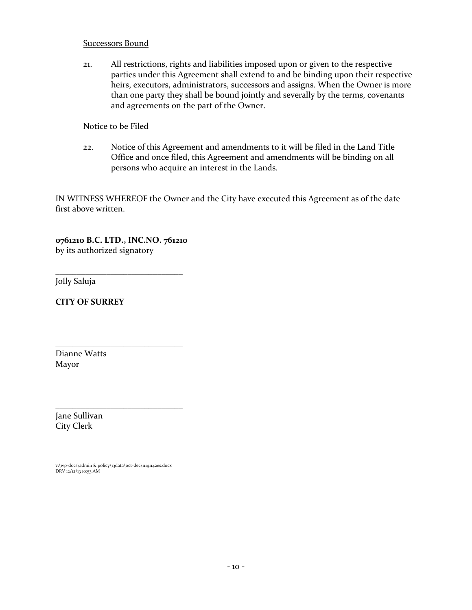### Successors Bound

21. All restrictions, rights and liabilities imposed upon or given to the respective parties under this Agreement shall extend to and be binding upon their respective heirs, executors, administrators, successors and assigns. When the Owner is more than one party they shall be bound jointly and severally by the terms, covenants and agreements on the part of the Owner.

### Notice to be Filed

22. Notice of this Agreement and amendments to it will be filed in the Land Title Office and once filed, this Agreement and amendments will be binding on all persons who acquire an interest in the Lands.

IN WITNESS WHEREOF the Owner and the City have executed this Agreement as of the date first above written.

**0761210 B.C. LTD., INC.NO. 761210** by its authorized signatory

\_\_\_\_\_\_\_\_\_\_\_\_\_\_\_\_\_\_\_\_\_\_\_\_\_\_\_\_\_\_

\_\_\_\_\_\_\_\_\_\_\_\_\_\_\_\_\_\_\_\_\_\_\_\_\_\_\_\_\_\_

\_\_\_\_\_\_\_\_\_\_\_\_\_\_\_\_\_\_\_\_\_\_\_\_\_\_\_\_\_\_

Jolly Saluja

**CITY OF SURREY**

Dianne Watts Mayor

Jane Sullivan City Clerk

v:\wp-docs\admin & policy\13data\oct-dec\11191142es.docx DRV 12/12/13 10:53 AM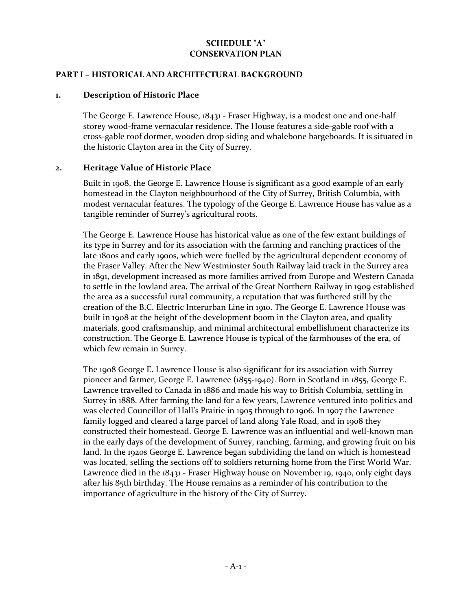# **SCHEDULE "A" CONSERVATION PLAN**

#### **PART I – HISTORICAL AND ARCHITECTURAL BACKGROUND**

#### **1. Description of Historic Place**

The George E. Lawrence House, 18431 - Fraser Highway, is a modest one and one-half storey wood-frame vernacular residence. The House features a side-gable roof with a cross-gable roof dormer, wooden drop siding and whalebone bargeboards. It is situated in the historic Clayton area in the City of Surrey.

### **2. Heritage Value of Historic Place**

Built in 1908, the George E. Lawrence House is significant as a good example of an early homestead in the Clayton neighbourhood of the City of Surrey, British Columbia, with modest vernacular features. The typology of the George E. Lawrence House has value as a tangible reminder of Surrey's agricultural roots.

The George E. Lawrence House has historical value as one of the few extant buildings of its type in Surrey and for its association with the farming and ranching practices of the late 1800s and early 1900s, which were fuelled by the agricultural dependent economy of the Fraser Valley. After the New Westminster South Railway laid track in the Surrey area in 1891, development increased as more families arrived from Europe and Western Canada to settle in the lowland area. The arrival of the Great Northern Railway in 1909 established the area as a successful rural community, a reputation that was furthered still by the creation of the B.C. Electric Interurban Line in 1910. The George E. Lawrence House was built in 1908 at the height of the development boom in the Clayton area, and quality materials, good craftsmanship, and minimal architectural embellishment characterize its construction. The George E. Lawrence House is typical of the farmhouses of the era, of which few remain in Surrey.

The 1908 George E. Lawrence House is also significant for its association with Surrey pioneer and farmer, George E. Lawrence (1855-1940). Born in Scotland in 1855, George E. Lawrence travelled to Canada in 1886 and made his way to British Columbia, settling in Surrey in 1888. After farming the land for a few years, Lawrence ventured into politics and was elected Councillor of Hall's Prairie in 1905 through to 1906. In 1907 the Lawrence family logged and cleared a large parcel of land along Yale Road, and in 1908 they constructed their homestead. George E. Lawrence was an influential and well-known man in the early days of the development of Surrey, ranching, farming, and growing fruit on his land. In the 1920s George E. Lawrence began subdividing the land on which is homestead was located, selling the sections off to soldiers returning home from the First World War. Lawrence died in the 18431 - Fraser Highway house on November 19, 1940, only eight days after his 85th birthday. The House remains as a reminder of his contribution to the importance of agriculture in the history of the City of Surrey.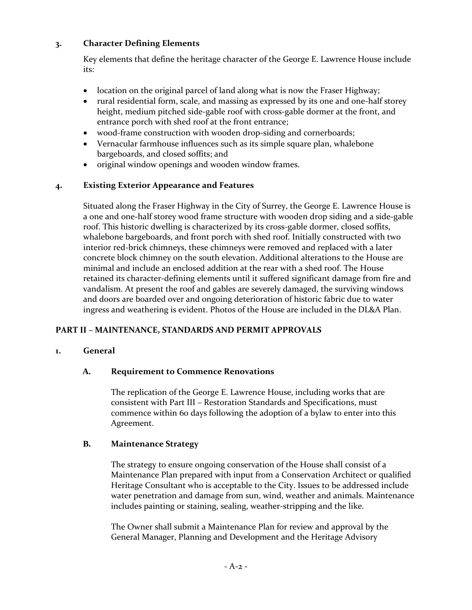# **3. Character Defining Elements**

Key elements that define the heritage character of the George E. Lawrence House include its:

- location on the original parcel of land along what is now the Fraser Highway;
- rural residential form, scale, and massing as expressed by its one and one-half storey height, medium pitched side-gable roof with cross-gable dormer at the front, and entrance porch with shed roof at the front entrance;
- wood-frame construction with wooden drop-siding and cornerboards;
- Vernacular farmhouse influences such as its simple square plan, whalebone bargeboards, and closed soffits; and
- original window openings and wooden window frames.

# **4. Existing Exterior Appearance and Features**

Situated along the Fraser Highway in the City of Surrey, the George E. Lawrence House is a one and one-half storey wood frame structure with wooden drop siding and a side-gable roof. This historic dwelling is characterized by its cross-gable dormer, closed soffits, whalebone bargeboards, and front porch with shed roof. Initially constructed with two interior red-brick chimneys, these chimneys were removed and replaced with a later concrete block chimney on the south elevation. Additional alterations to the House are minimal and include an enclosed addition at the rear with a shed roof. The House retained its character-defining elements until it suffered significant damage from fire and vandalism. At present the roof and gables are severely damaged, the surviving windows and doors are boarded over and ongoing deterioration of historic fabric due to water ingress and weathering is evident. Photos of the House are included in the DL&A Plan.

# **PART II – MAINTENANCE, STANDARDS AND PERMIT APPROVALS**

# **1. General**

# **A. Requirement to Commence Renovations**

The replication of the George E. Lawrence House, including works that are consistent with Part III – Restoration Standards and Specifications, must commence within 60 days following the adoption of a bylaw to enter into this Agreement.

# **B. Maintenance Strategy**

The strategy to ensure ongoing conservation of the House shall consist of a Maintenance Plan prepared with input from a Conservation Architect or qualified Heritage Consultant who is acceptable to the City. Issues to be addressed include water penetration and damage from sun, wind, weather and animals. Maintenance includes painting or staining, sealing, weather-stripping and the like.

The Owner shall submit a Maintenance Plan for review and approval by the General Manager, Planning and Development and the Heritage Advisory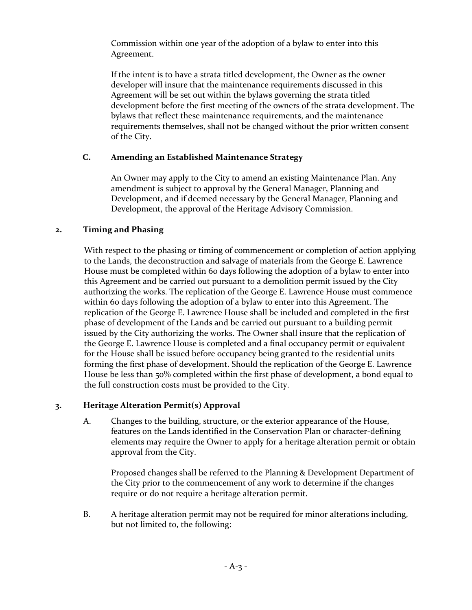Commission within one year of the adoption of a bylaw to enter into this Agreement.

If the intent is to have a strata titled development, the Owner as the owner developer will insure that the maintenance requirements discussed in this Agreement will be set out within the bylaws governing the strata titled development before the first meeting of the owners of the strata development. The bylaws that reflect these maintenance requirements, and the maintenance requirements themselves, shall not be changed without the prior written consent of the City.

# **C. Amending an Established Maintenance Strategy**

An Owner may apply to the City to amend an existing Maintenance Plan. Any amendment is subject to approval by the General Manager, Planning and Development, and if deemed necessary by the General Manager, Planning and Development, the approval of the Heritage Advisory Commission.

# **2. Timing and Phasing**

With respect to the phasing or timing of commencement or completion of action applying to the Lands, the deconstruction and salvage of materials from the George E. Lawrence House must be completed within 60 days following the adoption of a bylaw to enter into this Agreement and be carried out pursuant to a demolition permit issued by the City authorizing the works. The replication of the George E. Lawrence House must commence within 60 days following the adoption of a bylaw to enter into this Agreement. The replication of the George E. Lawrence House shall be included and completed in the first phase of development of the Lands and be carried out pursuant to a building permit issued by the City authorizing the works. The Owner shall insure that the replication of the George E. Lawrence House is completed and a final occupancy permit or equivalent for the House shall be issued before occupancy being granted to the residential units forming the first phase of development. Should the replication of the George E. Lawrence House be less than 50% completed within the first phase of development, a bond equal to the full construction costs must be provided to the City.

# **3. Heritage Alteration Permit(s) Approval**

A. Changes to the building, structure, or the exterior appearance of the House, features on the Lands identified in the Conservation Plan or character-defining elements may require the Owner to apply for a heritage alteration permit or obtain approval from the City.

Proposed changes shall be referred to the Planning & Development Department of the City prior to the commencement of any work to determine if the changes require or do not require a heritage alteration permit.

B. A heritage alteration permit may not be required for minor alterations including, but not limited to, the following: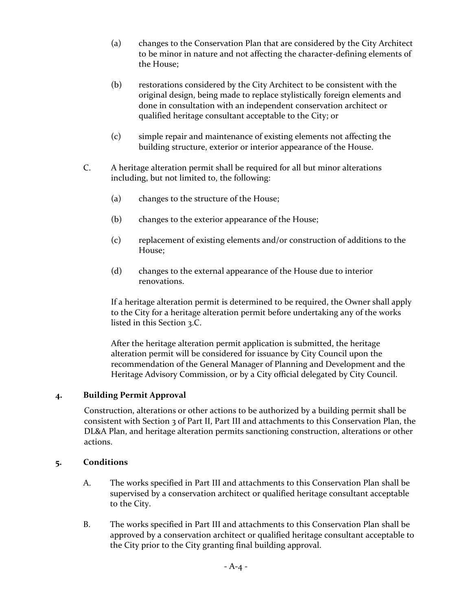- (a) changes to the Conservation Plan that are considered by the City Architect to be minor in nature and not affecting the character-defining elements of the House;
- (b) restorations considered by the City Architect to be consistent with the original design, being made to replace stylistically foreign elements and done in consultation with an independent conservation architect or qualified heritage consultant acceptable to the City; or
- (c) simple repair and maintenance of existing elements not affecting the building structure, exterior or interior appearance of the House.
- C. A heritage alteration permit shall be required for all but minor alterations including, but not limited to, the following:
	- (a) changes to the structure of the House;
	- (b) changes to the exterior appearance of the House;
	- (c) replacement of existing elements and/or construction of additions to the House;
	- (d) changes to the external appearance of the House due to interior renovations.

If a heritage alteration permit is determined to be required, the Owner shall apply to the City for a heritage alteration permit before undertaking any of the works listed in this Section 3.C.

After the heritage alteration permit application is submitted, the heritage alteration permit will be considered for issuance by City Council upon the recommendation of the General Manager of Planning and Development and the Heritage Advisory Commission, or by a City official delegated by City Council.

# **4. Building Permit Approval**

Construction, alterations or other actions to be authorized by a building permit shall be consistent with Section 3 of Part II, Part III and attachments to this Conservation Plan, the DL&A Plan, and heritage alteration permits sanctioning construction, alterations or other actions.

# **5. Conditions**

- A. The works specified in Part III and attachments to this Conservation Plan shall be supervised by a conservation architect or qualified heritage consultant acceptable to the City.
- B. The works specified in Part III and attachments to this Conservation Plan shall be approved by a conservation architect or qualified heritage consultant acceptable to the City prior to the City granting final building approval.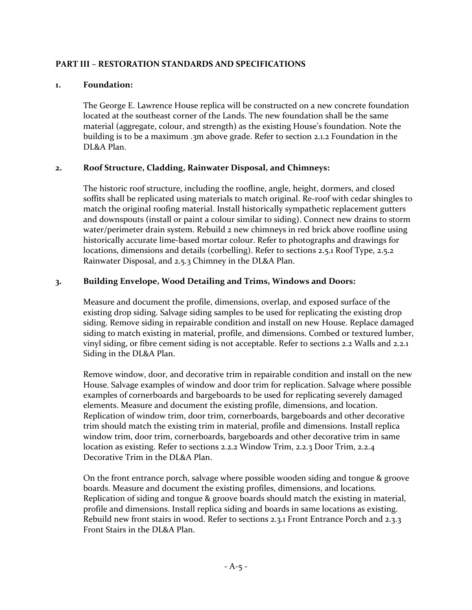# **PART III – RESTORATION STANDARDS AND SPECIFICATIONS**

# **1. Foundation:**

The George E. Lawrence House replica will be constructed on a new concrete foundation located at the southeast corner of the Lands. The new foundation shall be the same material (aggregate, colour, and strength) as the existing House's foundation. Note the building is to be a maximum .3m above grade. Refer to section 2.1.2 Foundation in the DL&A Plan.

# **2. Roof Structure, Cladding, Rainwater Disposal, and Chimneys:**

The historic roof structure, including the roofline, angle, height, dormers, and closed soffits shall be replicated using materials to match original. Re-roof with cedar shingles to match the original roofing material. Install historically sympathetic replacement gutters and downspouts (install or paint a colour similar to siding). Connect new drains to storm water/perimeter drain system. Rebuild 2 new chimneys in red brick above roofline using historically accurate lime-based mortar colour. Refer to photographs and drawings for locations, dimensions and details (corbelling). Refer to sections 2.5.1 Roof Type, 2.5.2 Rainwater Disposal, and 2.5.3 Chimney in the DL&A Plan.

# **3. Building Envelope, Wood Detailing and Trims, Windows and Doors:**

Measure and document the profile, dimensions, overlap, and exposed surface of the existing drop siding. Salvage siding samples to be used for replicating the existing drop siding. Remove siding in repairable condition and install on new House. Replace damaged siding to match existing in material, profile, and dimensions. Combed or textured lumber, vinyl siding, or fibre cement siding is not acceptable. Refer to sections 2.2 Walls and 2.2.1 Siding in the DL&A Plan.

Remove window, door, and decorative trim in repairable condition and install on the new House. Salvage examples of window and door trim for replication. Salvage where possible examples of cornerboards and bargeboards to be used for replicating severely damaged elements. Measure and document the existing profile, dimensions, and location. Replication of window trim, door trim, cornerboards, bargeboards and other decorative trim should match the existing trim in material, profile and dimensions. Install replica window trim, door trim, cornerboards, bargeboards and other decorative trim in same location as existing. Refer to sections 2.2.2 Window Trim, 2.2.3 Door Trim, 2.2.4 Decorative Trim in the DL&A Plan.

On the front entrance porch, salvage where possible wooden siding and tongue & groove boards. Measure and document the existing profiles, dimensions, and locations. Replication of siding and tongue & groove boards should match the existing in material, profile and dimensions. Install replica siding and boards in same locations as existing. Rebuild new front stairs in wood. Refer to sections 2.3.1 Front Entrance Porch and 2.3.3 Front Stairs in the DL&A Plan.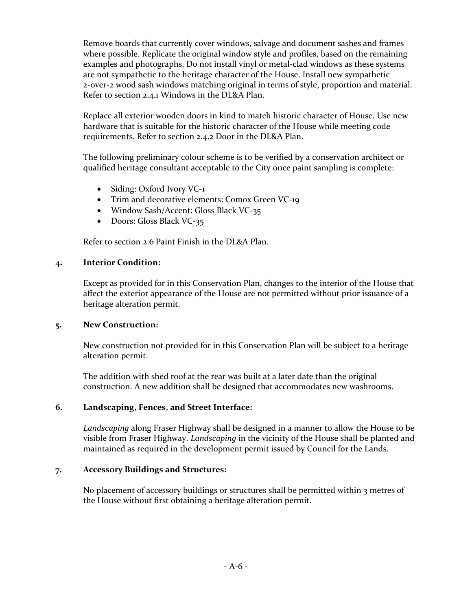Remove boards that currently cover windows, salvage and document sashes and frames where possible. Replicate the original window style and profiles, based on the remaining examples and photographs. Do not install vinyl or metal-clad windows as these systems are not sympathetic to the heritage character of the House. Install new sympathetic 2-over-2 wood sash windows matching original in terms of style, proportion and material. Refer to section 2.4.1 Windows in the DL&A Plan.

Replace all exterior wooden doors in kind to match historic character of House. Use new hardware that is suitable for the historic character of the House while meeting code requirements. Refer to section 2.4.2 Door in the DL&A Plan.

The following preliminary colour scheme is to be verified by a conservation architect or qualified heritage consultant acceptable to the City once paint sampling is complete:

- Siding: Oxford Ivory VC-1
- Trim and decorative elements: Comox Green VC-19
- Window Sash/Accent: Gloss Black VC-35
- Doors: Gloss Black VC-35

Refer to section 2.6 Paint Finish in the DL&A Plan.

### **4. Interior Condition:**

Except as provided for in this Conservation Plan, changes to the interior of the House that affect the exterior appearance of the House are not permitted without prior issuance of a heritage alteration permit.

# **5. New Construction:**

New construction not provided for in this Conservation Plan will be subject to a heritage alteration permit.

The addition with shed roof at the rear was built at a later date than the original construction. A new addition shall be designed that accommodates new washrooms.

# **6. Landscaping, Fences, and Street Interface:**

*Landscaping* along Fraser Highway shall be designed in a manner to allow the House to be visible from Fraser Highway. *Landscaping* in the vicinity of the House shall be planted and maintained as required in the development permit issued by Council for the Lands.

# **7. Accessory Buildings and Structures:**

No placement of accessory buildings or structures shall be permitted within 3 metres of the House without first obtaining a heritage alteration permit.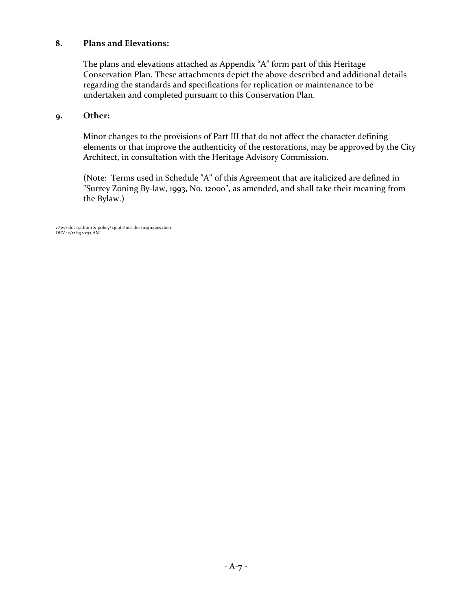# **8. Plans and Elevations:**

The plans and elevations attached as Appendix "A" form part of this Heritage Conservation Plan. These attachments depict the above described and additional details regarding the standards and specifications for replication or maintenance to be undertaken and completed pursuant to this Conservation Plan.

### **9. Other:**

Minor changes to the provisions of Part III that do not affect the character defining elements or that improve the authenticity of the restorations, may be approved by the City Architect, in consultation with the Heritage Advisory Commission.

(Note: Terms used in Schedule "A" of this Agreement that are italicized are defined in "Surrey Zoning By-law, 1993, No. 12000", as amended, and shall take their meaning from the Bylaw.)

v:\wp-docs\admin & policy\13data\oct-dec\11191142es.docx DRV 12/12/13 10:53 AM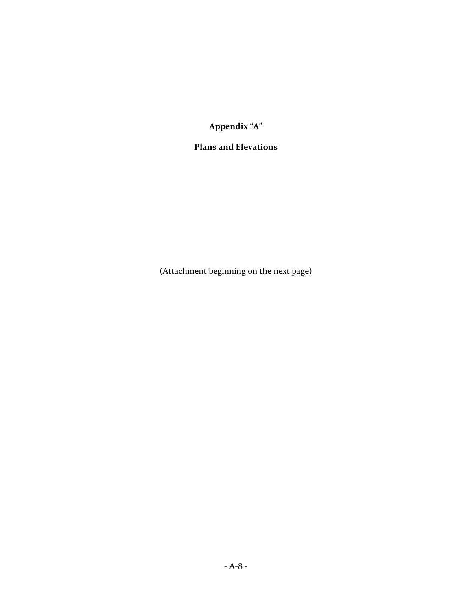**Appendix "A"**

# **Plans and Elevations**

(Attachment beginning on the next page)